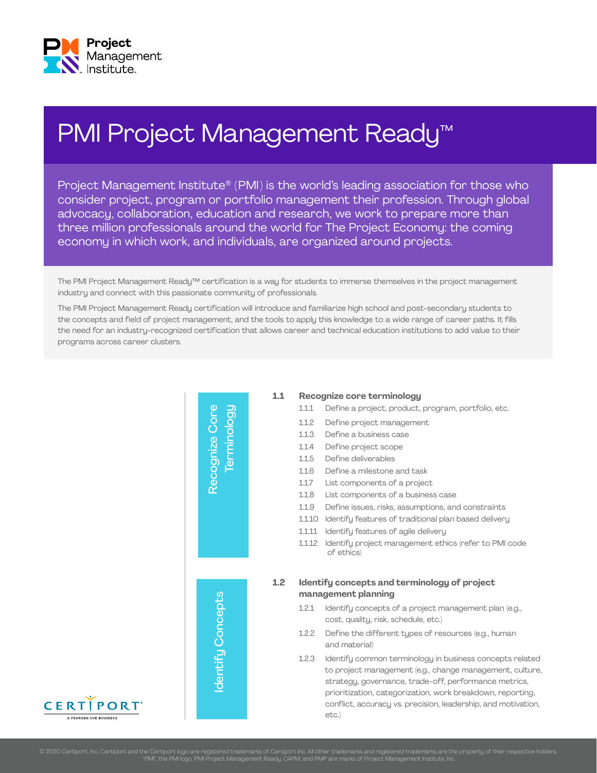

## PMI Project Management Ready<sup>™</sup>

Project Management Institute® (PMI) is the world's leading association for those who consider project, program or portfolio management their profession. Through global advocacy, collaboration, education and research, we work to prepare more than three million professionals around the world for The Project Economy: the coming economy in which work, and individuals, are organized around projects.

The PMI Project Management Ready™ certification is a way for students to immerse themselves in the project management industry and connect with this passionate community of professionals.

The PMI Project Management Ready certification will introduce and familiarize high school and post-secondary students to the concepts and field of project management, and the tools to apply this knowledge to a wide range of career paths. It fills the need for an industry-recognized certification that allows career and technical education institutions to add value to their programs across career clusters.



## **1.1 Recognize core terminology**

- 1.1.1 Define a project, product, program, portfolio, etc.
- 1.1.2 Define project management
- 1.1.3 Define a business case
- 1.1.4 Define project scope
- 1.1.5 Define deliverables
- 1.1.6 Define a milestone and task
- 1.1.7 List components of a project
- 1.1.8 List components of a business case
- 1.1.9 Define issues, risks, assumptions, and constraints
- 1.1.10 Identify features of traditional plan based delivery
- 1.1.11 Identify features of agile delivery
- 1.1.12 Identify project management ethics (refer to PMI code of ethics)

### **1.2 Identify concepts and terminology of project management planning**

- 1.2.1 Identify concepts of a project management plan (e.g., cost, quality, risk, schedule, etc.)
- 1.2.2 Define the different types of resources (e.g., human and material)
- 1.2.3 Identify common terminology in business concepts related to project management (e.g., change management, culture, strategy, governance, trade-off, performance metrics, prioritization, categorization, work breakdown, reporting, conflict, accuracy vs. precision, leadership, and motivation, etc.)

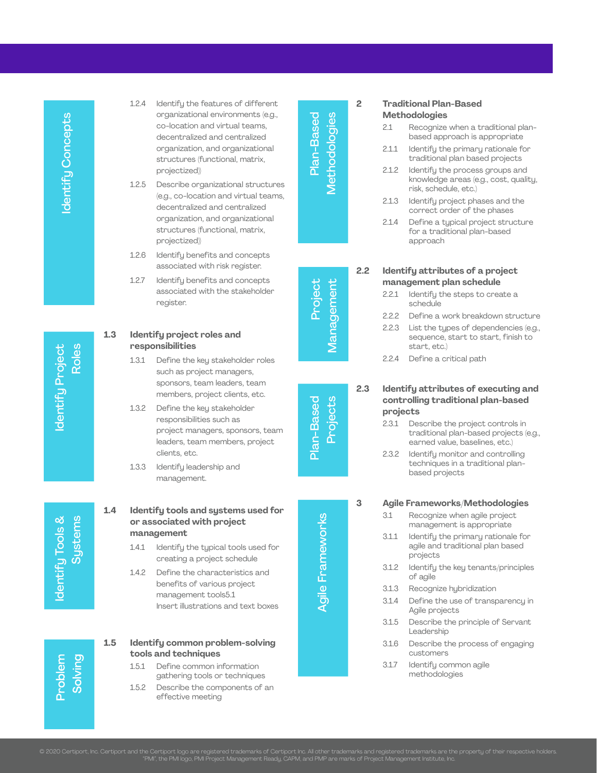Identify Project dentify Project Roles

ldentify Tools &<br>Systems

Solving Problem

- 1.2.4 Identify the features of different organizational environments (e.g., co-location and virtual teams, decentralized and centralized organization, and organizational structures (functional, matrix, projectized))
- 1.2.5 Describe organizational structures (e.g., co-location and virtual teams, decentralized and centralized organization, and organizational structures (functional, matrix, projectized))
- 1.2.6 Identify benefits and concepts associated with risk register.
- 1.2.7 Identify benefits and concepts associated with the stakeholder register.

## **1.3 Identify project roles and responsibilities**

- 1.3.1 Define the key stakeholder roles such as project managers, sponsors, team leaders, team members, project clients, etc.
- 1.3.2 Define the key stakeholder responsibilities such as project managers, sponsors, team leaders, team members, project clients, etc.
- 1.3.3 Identify leadership and management.
- **1.4 Identify tools and systems used for or associated with project management**
	- 1.4.1 Identify the typical tools used for creating a project schedule
	- 1.4.2 Define the characteristics and benefits of various project management tools5.1 Insert illustrations and text boxes

## **1.5 Identify common problem-solving tools and techniques**

- 1.5.1 Define common information gathering tools or techniques
- 1.5.2 Describe the components of an effective meeting

Agile Frameworks Plan-Based Methodologies Project Management Plan-Based Projects Methodologies Plan-Based

## **2 Traditional Plan-Based Methodologies**

- 2.1 Recognize when a traditional plan based approach is appropriate
- 2.1.1 Identify the primary rationale for traditional plan based projects
- 2.1.2 Identify the process groups and knowledge areas (e.g., cost, quality, risk, schedule, etc.)
- 2.1.3 Identify project phases and the correct order of the phases
- 2.1.4 Define a typical project structure for a traditional plan-based approach

Management

## **2.2 Identify attributes of a project management plan schedule**

- 2.2.1 Identify the steps to create a schedule
- 2.2.2 Define a work breakdown structure
- 2.2.3 List the types of dependencies (e.g., sequence, start to start, finish to start, etc.)
- 2.2.4 Define a critical path
- 

## **2.3 Identify attributes of executing and controlling traditional plan-based projects**

- 2.3.1 Describe the project controls in traditional plan-based projects (e.g., earned value, baselines, etc.)
- 2.3.2 Identify monitor and controlling techniques in a traditional plan based projects

**3 Agile Frameworks/Methodologies**

- 3.1 Recognize when agile project management is appropriate
- 3.1.1 Identify the primary rationale for agile and traditional plan based projects
- 3.1.2 Identify the key tenants/principles of agile
- 3.1.3 Recognize hybridization
- 3.1.4 Define the use of transparency in Agile projects
- 3.1.5 Describe the principle of Servant Leadership
- 3.1.6 Describe the process of engaging customers
- 3.1.7 Identify common agile methodologies

# Project

# Plan-Based Projects

**Agile Frameworks**